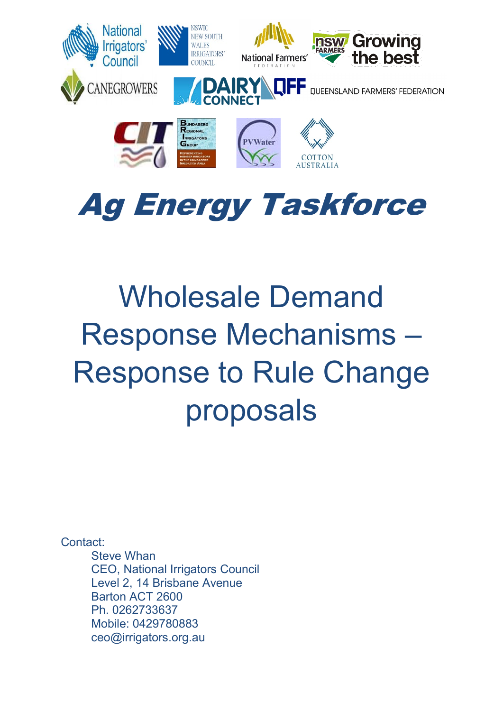

# Ag Energy Taskforce

# Wholesale Demand Response Mechanisms – Response to Rule Change proposals

Contact:

Steve Whan CEO, National Irrigators Council Level 2, 14 Brisbane Avenue Barton ACT 2600 Ph. 0262733637 Mobile: 0429780883 ceo@irrigators.org.au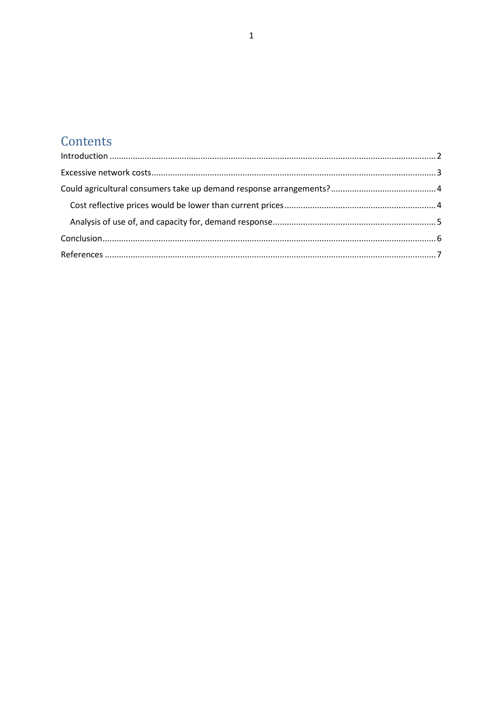## Contents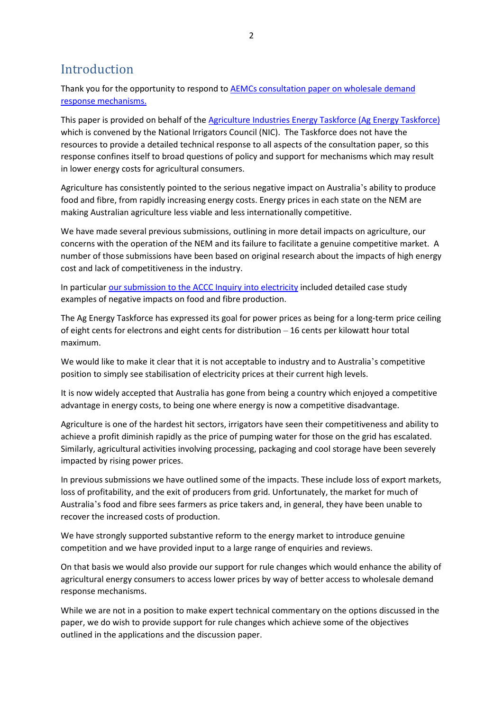## <span id="page-2-0"></span>Introduction

Thank you for the opportunity to respond to AEMCs [consultation paper on wholesale](https://www.aemc.gov.au/rule-changes/wholesale-demand-response-mechanism) demand [response mechanisms.](https://www.aemc.gov.au/rule-changes/wholesale-demand-response-mechanism)

This paper is provided on behalf of th[e Agriculture Industries Energy Taskforce \(Ag Energy Taskforce\)](https://agenergytaskforce.org.au/) which is convened by the National Irrigators Council (NIC). The Taskforce does not have the resources to provide a detailed technical response to all aspects of the consultation paper, so this response confines itself to broad questions of policy and support for mechanisms which may result in lower energy costs for agricultural consumers.

Agriculture has consistently pointed to the serious negative impact on Australia's ability to produce food and fibre, from rapidly increasing energy costs. Energy prices in each state on the NEM are making Australian agriculture less viable and less internationally competitive.

We have made several previous submissions, outlining in more detail impacts on agriculture, our concerns with the operation of the NEM and its failure to facilitate a genuine competitive market. A number of those submissions have been based on original research about the impacts of high energy cost and lack of competitiveness in the industry.

In particula[r our submission to the ACCC Inquiry into electricity](https://www.irrigators.org.au/wp-content/uploads/2018/03/Agricultural_Industries_Energy_Task_Force_submission_to_ACCC_Inquiry_into_electricity.pdf) included detailed case study examples of negative impacts on food and fibre production.

The Ag Energy Taskforce has expressed its goal for power prices as being for a long-term price ceiling of eight cents for electrons and eight cents for distribution – 16 cents per kilowatt hour total maximum.

We would like to make it clear that it is not acceptable to industry and to Australia's competitive position to simply see stabilisation of electricity prices at their current high levels.

It is now widely accepted that Australia has gone from being a country which enjoyed a competitive advantage in energy costs, to being one where energy is now a competitive disadvantage.

Agriculture is one of the hardest hit sectors, irrigators have seen their competitiveness and ability to achieve a profit diminish rapidly as the price of pumping water for those on the grid has escalated. Similarly, agricultural activities involving processing, packaging and cool storage have been severely impacted by rising power prices.

In previous submissions we have outlined some of the impacts. These include loss of export markets, loss of profitability, and the exit of producers from grid. Unfortunately, the market for much of Australia's food and fibre sees farmers as price takers and, in general, they have been unable to recover the increased costs of production.

We have strongly supported substantive reform to the energy market to introduce genuine competition and we have provided input to a large range of enquiries and reviews.

On that basis we would also provide our support for rule changes which would enhance the ability of agricultural energy consumers to access lower prices by way of better access to wholesale demand response mechanisms.

While we are not in a position to make expert technical commentary on the options discussed in the paper, we do wish to provide support for rule changes which achieve some of the objectives outlined in the applications and the discussion paper.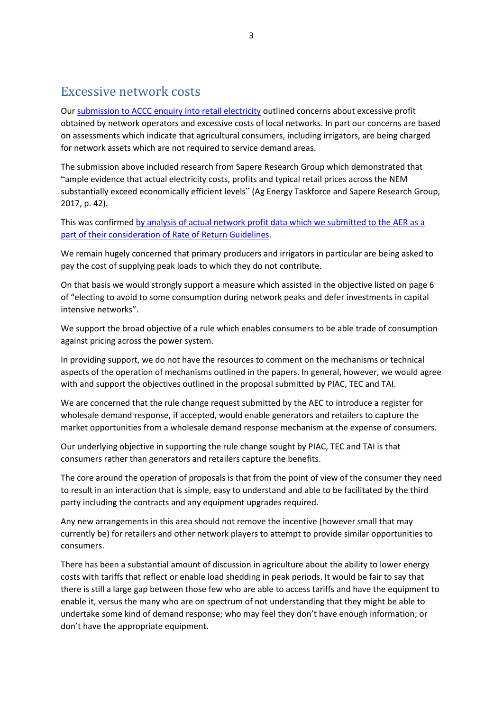## <span id="page-3-0"></span>Excessive network costs

Our [submission to ACCC enquiry into retail electricity](https://www.irrigators.org.au/wp-content/uploads/2018/03/Agricultural_Industries_Energy_Task_Force_submission_to_ACCC_Inquiry_into_electricity.pdf) outlined concerns about excessive profit obtained by network operators and excessive costs of local networks. In part our concerns are based on assessments which indicate that agricultural consumers, including irrigators, are being charged for network assets which are not required to service demand areas.

The submission above included research from Sapere Research Group which demonstrated that "ample evidence that actual electricity costs, profits and typical retail prices across the NEM substantially exceed economically efficient levels" (Ag Energy Taskforce and Sapere Research Group, 2017, p. 42).

This was confirmed [by analysis of actual network profit data which we submitted to the AER as a](https://www.irrigators.org.au/wp-content/uploads/2018/10/Final_Sapere_report_on_AER_network_profitability_data_139.pdf)  [part of their consideration of Rate of Return Guidelines.](https://www.irrigators.org.au/wp-content/uploads/2018/10/Final_Sapere_report_on_AER_network_profitability_data_139.pdf)

We remain hugely concerned that primary producers and irrigators in particular are being asked to pay the cost of supplying peak loads to which they do not contribute.

On that basis we would strongly support a measure which assisted in the objective listed on page 6 of "electing to avoid to some consumption during network peaks and defer investments in capital intensive networks".

We support the broad objective of a rule which enables consumers to be able trade of consumption against pricing across the power system.

In providing support, we do not have the resources to comment on the mechanisms or technical aspects of the operation of mechanisms outlined in the papers. In general, however, we would agree with and support the objectives outlined in the proposal submitted by PIAC, TEC and TAI.

We are concerned that the rule change request submitted by the AEC to introduce a register for wholesale demand response, if accepted, would enable generators and retailers to capture the market opportunities from a wholesale demand response mechanism at the expense of consumers.

Our underlying objective in supporting the rule change sought by PIAC, TEC and TAI is that consumers rather than generators and retailers capture the benefits.

The core around the operation of proposals is that from the point of view of the consumer they need to result in an interaction that is simple, easy to understand and able to be facilitated by the third party including the contracts and any equipment upgrades required.

Any new arrangements in this area should not remove the incentive (however small that may currently be) for retailers and other network players to attempt to provide similar opportunities to consumers.

There has been a substantial amount of discussion in agriculture about the ability to lower energy costs with tariffs that reflect or enable load shedding in peak periods. It would be fair to say that there is still a large gap between those few who are able to access tariffs and have the equipment to enable it, versus the many who are on spectrum of not understanding that they might be able to undertake some kind of demand response; who may feel they don't have enough information; or don't have the appropriate equipment.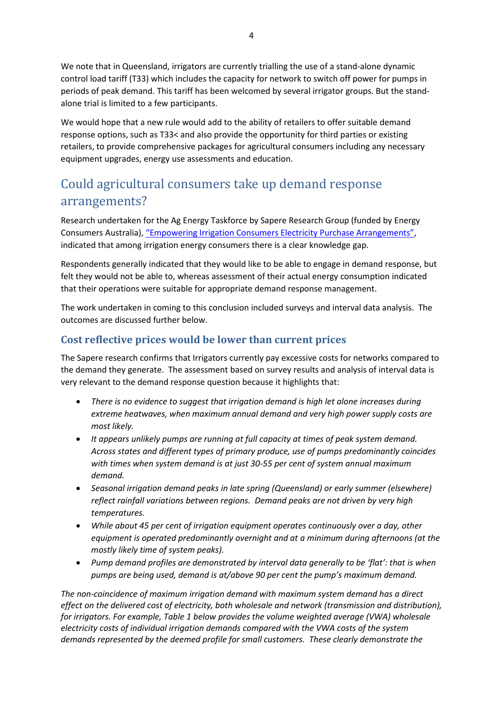We note that in Queensland, irrigators are currently trialling the use of a stand-alone dynamic control load tariff (T33) which includes the capacity for network to switch off power for pumps in periods of peak demand. This tariff has been welcomed by several irrigator groups. But the standalone trial is limited to a few participants.

We would hope that a new rule would add to the ability of retailers to offer suitable demand response options, such as T33< and also provide the opportunity for third parties or existing retailers, to provide comprehensive packages for agricultural consumers including any necessary equipment upgrades, energy use assessments and education.

## <span id="page-4-0"></span>Could agricultural consumers take up demand response arrangements?

Research undertaken for the Ag Energy Taskforce by Sapere Research Group (funded by Energy Consumers Australia)[, "Empowering Irrigation Consumers Electricity Purchase Arrangements",](https://www.irrigators.org.au/wp-content/uploads/2018/07/Empowerment_NIC_20180716_final_report_918.pdf) indicated that among irrigation energy consumers there is a clear knowledge gap.

Respondents generally indicated that they would like to be able to engage in demand response, but felt they would not be able to, whereas assessment of their actual energy consumption indicated that their operations were suitable for appropriate demand response management.

The work undertaken in coming to this conclusion included surveys and interval data analysis. The outcomes are discussed further below.

### <span id="page-4-1"></span>**Cost reflective prices would be lower than current prices**

The Sapere research confirms that Irrigators currently pay excessive costs for networks compared to the demand they generate. The assessment based on survey results and analysis of interval data is very relevant to the demand response question because it highlights that:

- *There is no evidence to suggest that irrigation demand is high let alone increases during extreme heatwaves, when maximum annual demand and very high power supply costs are most likely.*
- *It appears unlikely pumps are running at full capacity at times of peak system demand. Across states and different types of primary produce, use of pumps predominantly coincides with times when system demand is at just 30-55 per cent of system annual maximum demand.*
- *Seasonal irrigation demand peaks in late spring (Queensland) or early summer (elsewhere) reflect rainfall variations between regions. Demand peaks are not driven by very high temperatures.*
- *While about 45 per cent of irrigation equipment operates continuously over a day, other equipment is operated predominantly overnight and at a minimum during afternoons (at the mostly likely time of system peaks).*
- *Pump demand profiles are demonstrated by interval data generally to be 'flat': that is when pumps are being used, demand is at/above 90 per cent the pump's maximum demand.*

*The non-coincidence of maximum irrigation demand with maximum system demand has a direct effect on the delivered cost of electricity, both wholesale and network (transmission and distribution), for irrigators. For example, [Table 1](#page-5-1) [below](#page-5-1) provides the volume weighted average (VWA) wholesale electricity costs of individual irrigation demands compared with the VWA costs of the system demands represented by the deemed profile for small customers. These clearly demonstrate the*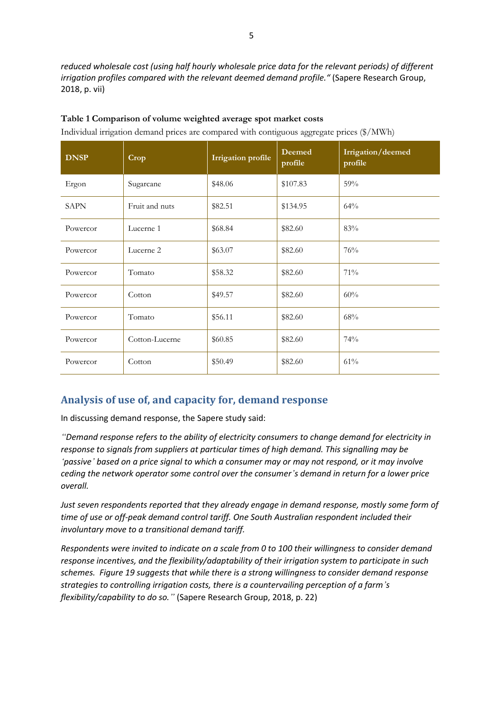*reduced wholesale cost (using half hourly wholesale price data for the relevant periods) of different irrigation profiles compared with the relevant deemed demand profile."* (Sapere Research Group, 2018, p. vii)

| <b>DNSP</b> | Crop           | <b>Irrigation</b> profile | Deemed<br>profile | Irrigation/deemed<br>profile |
|-------------|----------------|---------------------------|-------------------|------------------------------|
| Ergon       | Sugarcane      | \$48.06                   | \$107.83          | 59%                          |
| <b>SAPN</b> | Fruit and nuts | \$82.51                   | \$134.95          | 64%                          |
| Powercor    | Lucerne 1      | \$68.84                   | \$82.60           | 83%                          |
| Powercor    | Lucerne 2      | \$63.07                   | \$82.60           | 76%                          |
| Powercor    | Tomato         | \$58.32                   | \$82.60           | 71%                          |
| Powercor    | Cotton         | \$49.57                   | \$82.60           | 60%                          |
| Powercor    | Tomato         | \$56.11                   | \$82.60           | 68%                          |
| Powercor    | Cotton-Lucerne | \$60.85                   | \$82.60           | 74%                          |
| Powercor    | Cotton         | \$50.49                   | \$82.60           | 61%                          |

#### <span id="page-5-1"></span>**Table 1 Comparison of volume weighted average spot market costs**

Individual irrigation demand prices are compared with contiguous aggregate prices (\$/MWh)

### <span id="page-5-0"></span>**Analysis of use of, and capacity for, demand response**

In discussing demand response, the Sapere study said:

*"Demand response refers to the ability of electricity consumers to change demand for electricity in response to signals from suppliers at particular times of high demand. This signalling may be 'passive' based on a price signal to which a consumer may or may not respond, or it may involve ceding the network operator some control over the consumer's demand in return for a lower price overall.*

*Just seven respondents reported that they already engage in demand response, mostly some form of time of use or off-peak demand control tariff. One South Australian respondent included their involuntary move to a transitional demand tariff.* 

*Respondents were invited to indicate on a scale from 0 to 100 their willingness to consider demand response incentives, and the flexibility/adaptability of their irrigation system to participate in such schemes. Figure 19 suggests that while there is a strong willingness to consider demand response strategies to controlling irrigation costs, there is a countervailing perception of a farm's flexibility/capability to do so."* (Sapere Research Group, 2018, p. 22)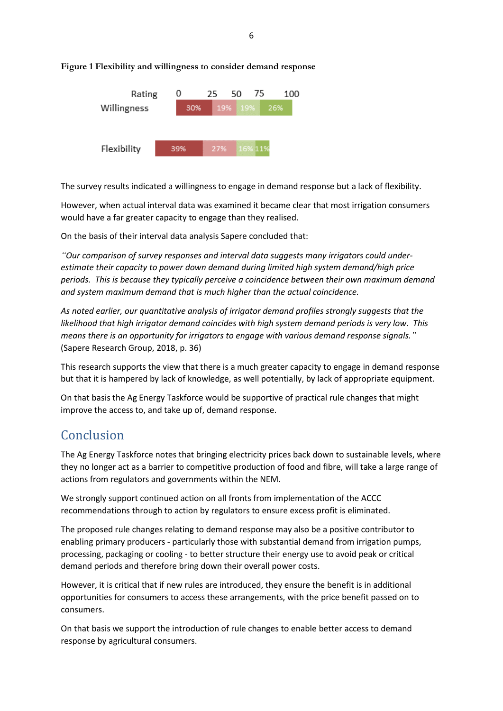6



#### **Figure 1 Flexibility and willingness to consider demand response**

The survey results indicated a willingness to engage in demand response but a lack of flexibility.

However, when actual interval data was examined it became clear that most irrigation consumers would have a far greater capacity to engage than they realised.

On the basis of their interval data analysis Sapere concluded that:

*"Our comparison of survey responses and interval data suggests many irrigators could underestimate their capacity to power down demand during limited high system demand/high price periods. This is because they typically perceive a coincidence between their own maximum demand and system maximum demand that is much higher than the actual coincidence.*

*As noted earlier, our quantitative analysis of irrigator demand profiles strongly suggests that the likelihood that high irrigator demand coincides with high system demand periods is very low. This means there is an opportunity for irrigators to engage with various demand response signals."* (Sapere Research Group, 2018, p. 36)

This research supports the view that there is a much greater capacity to engage in demand response but that it is hampered by lack of knowledge, as well potentially, by lack of appropriate equipment.

On that basis the Ag Energy Taskforce would be supportive of practical rule changes that might improve the access to, and take up of, demand response.

## <span id="page-6-0"></span>Conclusion

The Ag Energy Taskforce notes that bringing electricity prices back down to sustainable levels, where they no longer act as a barrier to competitive production of food and fibre, will take a large range of actions from regulators and governments within the NEM.

We strongly support continued action on all fronts from implementation of the ACCC recommendations through to action by regulators to ensure excess profit is eliminated.

The proposed rule changes relating to demand response may also be a positive contributor to enabling primary producers - particularly those with substantial demand from irrigation pumps, processing, packaging or cooling - to better structure their energy use to avoid peak or critical demand periods and therefore bring down their overall power costs.

However, it is critical that if new rules are introduced, they ensure the benefit is in additional opportunities for consumers to access these arrangements, with the price benefit passed on to consumers.

On that basis we support the introduction of rule changes to enable better access to demand response by agricultural consumers.